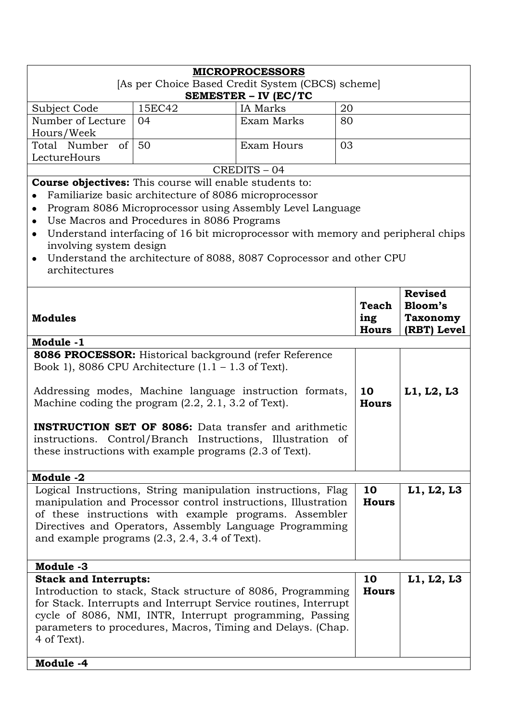|                                                                           |                                                       | <b>MICROPROCESSORS</b>                                                           |              |                 |
|---------------------------------------------------------------------------|-------------------------------------------------------|----------------------------------------------------------------------------------|--------------|-----------------|
| [As per Choice Based Credit System (CBCS) scheme]<br>SEMESTER - IV (EC/TC |                                                       |                                                                                  |              |                 |
| Subject Code                                                              | 15EC42                                                | IA Marks                                                                         | 20           |                 |
| Number of Lecture                                                         | 04                                                    | Exam Marks                                                                       | 80           |                 |
| Hours/Week                                                                |                                                       |                                                                                  |              |                 |
| of<br>Total Number                                                        | 50                                                    | <b>Exam Hours</b>                                                                | 03           |                 |
| LectureHours                                                              |                                                       |                                                                                  |              |                 |
|                                                                           |                                                       | CREDITS-04                                                                       |              |                 |
| <b>Course objectives:</b> This course will enable students to:            |                                                       |                                                                                  |              |                 |
|                                                                           | Familiarize basic architecture of 8086 microprocessor |                                                                                  |              |                 |
| ٠                                                                         |                                                       | Program 8086 Microprocessor using Assembly Level Language                        |              |                 |
| $\bullet$                                                                 | Use Macros and Procedures in 8086 Programs            |                                                                                  |              |                 |
| $\bullet$                                                                 |                                                       | Understand interfacing of 16 bit microprocessor with memory and peripheral chips |              |                 |
| involving system design                                                   |                                                       |                                                                                  |              |                 |
| $\bullet$                                                                 |                                                       | Understand the architecture of 8088, 8087 Coprocessor and other CPU              |              |                 |
| architectures                                                             |                                                       |                                                                                  |              |                 |
|                                                                           |                                                       |                                                                                  |              |                 |
|                                                                           |                                                       |                                                                                  |              | <b>Revised</b>  |
|                                                                           |                                                       |                                                                                  | Teach        | Bloom's         |
| <b>Modules</b>                                                            |                                                       |                                                                                  | ing          | <b>Taxonomy</b> |
|                                                                           |                                                       |                                                                                  | <b>Hours</b> | (RBT) Level     |
| Module -1                                                                 |                                                       |                                                                                  |              |                 |
|                                                                           |                                                       | 8086 PROCESSOR: Historical background (refer Reference                           |              |                 |
| Book 1), 8086 CPU Architecture $(1.1 - 1.3)$ of Text.                     |                                                       |                                                                                  |              |                 |
|                                                                           |                                                       | Addressing modes, Machine language instruction formats,                          | 10           | L1, L2, L3      |
| Machine coding the program $(2.2, 2.1, 3.2)$ of Text.                     |                                                       |                                                                                  | <b>Hours</b> |                 |
|                                                                           |                                                       |                                                                                  |              |                 |
|                                                                           |                                                       | <b>INSTRUCTION SET OF 8086:</b> Data transfer and arithmetic                     |              |                 |
|                                                                           |                                                       | instructions. Control/Branch Instructions, Illustration of                       |              |                 |
| these instructions with example programs (2.3 of Text).                   |                                                       |                                                                                  |              |                 |
|                                                                           |                                                       |                                                                                  |              |                 |
| Module -2                                                                 |                                                       |                                                                                  |              |                 |
|                                                                           |                                                       | Logical Instructions, String manipulation instructions, Flag                     | 10           | L1, L2, L3      |
|                                                                           |                                                       | manipulation and Processor control instructions, Illustration                    | <b>Hours</b> |                 |
|                                                                           |                                                       | of these instructions with example programs. Assembler                           |              |                 |
|                                                                           |                                                       | Directives and Operators, Assembly Language Programming                          |              |                 |
|                                                                           | and example programs $(2.3, 2.4, 3.4$ of Text).       |                                                                                  |              |                 |
|                                                                           |                                                       |                                                                                  |              |                 |
| Module -3                                                                 |                                                       |                                                                                  |              |                 |
| <b>Stack and Interrupts:</b>                                              |                                                       |                                                                                  | 10           | L1, L2, L3      |
|                                                                           |                                                       | Introduction to stack, Stack structure of 8086, Programming                      | <b>Hours</b> |                 |
|                                                                           |                                                       | for Stack. Interrupts and Interrupt Service routines, Interrupt                  |              |                 |
|                                                                           |                                                       | cycle of 8086, NMI, INTR, Interrupt programming, Passing                         |              |                 |
|                                                                           |                                                       | parameters to procedures, Macros, Timing and Delays. (Chap.                      |              |                 |
| 4 of Text).                                                               |                                                       |                                                                                  |              |                 |
|                                                                           |                                                       |                                                                                  |              |                 |
| Module -4                                                                 |                                                       |                                                                                  |              |                 |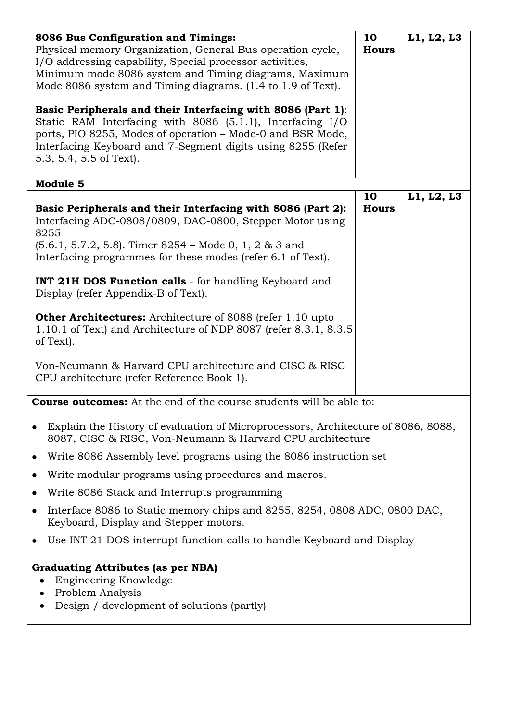| 8086 Bus Configuration and Timings:<br>Physical memory Organization, General Bus operation cycle,<br>I/O addressing capability, Special processor activities,<br>Minimum mode 8086 system and Timing diagrams, Maximum<br>Mode 8086 system and Timing diagrams. (1.4 to 1.9 of Text).<br>Basic Peripherals and their Interfacing with 8086 (Part 1):<br>Static RAM Interfacing with 8086 (5.1.1), Interfacing I/O<br>ports, PIO 8255, Modes of operation - Mode-0 and BSR Mode,<br>Interfacing Keyboard and 7-Segment digits using 8255 (Refer<br>5.3, 5.4, 5.5 of Text).<br>Module 5                                                                          | 10<br><b>Hours</b> | L1, L2, L3 |
|----------------------------------------------------------------------------------------------------------------------------------------------------------------------------------------------------------------------------------------------------------------------------------------------------------------------------------------------------------------------------------------------------------------------------------------------------------------------------------------------------------------------------------------------------------------------------------------------------------------------------------------------------------------|--------------------|------------|
| Basic Peripherals and their Interfacing with 8086 (Part 2):<br>Interfacing ADC-0808/0809, DAC-0800, Stepper Motor using<br>8255<br>$(5.6.1, 5.7.2, 5.8)$ . Timer 8254 – Mode 0, 1, 2 & 3 and<br>Interfacing programmes for these modes (refer 6.1 of Text).<br><b>INT 21H DOS Function calls</b> - for handling Keyboard and<br>Display (refer Appendix-B of Text).<br><b>Other Architectures:</b> Architecture of 8088 (refer 1.10 upto<br>1.10.1 of Text) and Architecture of NDP 8087 (refer 8.3.1, 8.3.5<br>of Text).<br>Von-Neumann & Harvard CPU architecture and CISC & RISC<br>CPU architecture (refer Reference Book 1).                              | 10<br><b>Hours</b> | L1, L2, L3 |
| <b>Course outcomes:</b> At the end of the course students will be able to:<br>Explain the History of evaluation of Microprocessors, Architecture of 8086, 8088,<br>8087, CISC & RISC, Von-Neumann & Harvard CPU architecture<br>Write 8086 Assembly level programs using the 8086 instruction set<br>٠<br>Write modular programs using procedures and macros.<br>٠<br>Write 8086 Stack and Interrupts programming<br>Interface 8086 to Static memory chips and 8255, 8254, 0808 ADC, 0800 DAC,<br>Keyboard, Display and Stepper motors.<br>Use INT 21 DOS interrupt function calls to handle Keyboard and Display<br><b>Graduating Attributes (as per NBA)</b> |                    |            |
| Engineering Knowledge<br>Problem Analysis<br>Design / development of solutions (partly)                                                                                                                                                                                                                                                                                                                                                                                                                                                                                                                                                                        |                    |            |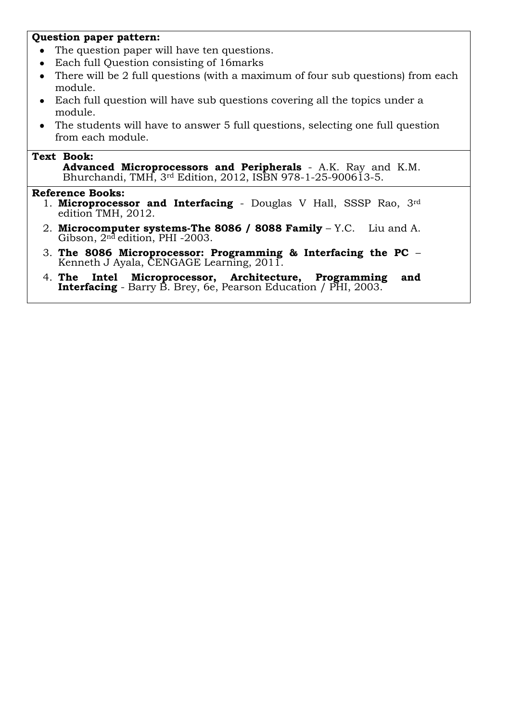### **Question paper pattern:**

- The question paper will have ten questions.
- Each full Question consisting of 16marks  $\bullet$
- There will be 2 full questions (with a maximum of four sub questions) from each  $\bullet$ module.
- Each full question will have sub questions covering all the topics under a  $\bullet$ module.
- The students will have to answer 5 full questions, selecting one full question from each module.

# **Text Book:**

**Advanced Microprocessors and Peripherals** - A.K. Ray and K.M. Bhurchandi, TMH, 3rd Edition, 2012, ISBN 978-1-25-900613-5.

- 1. **Microprocessor and Interfacing** Douglas V Hall, SSSP Rao, 3rd edition TMH, 2012.
- 2. **Microcomputer systems-The 8086 / 8088 Family** Y.C. Liu and A. Gibson, 2nd edition, PHI -2003.
- 3. **The 8086 Microprocessor: Programming & Interfacing the PC**  Kenneth J Ayala, CENGAGE Learning, 2011.
- 4. **The Intel Microprocessor, Architecture, Programming and Interfacing** - Barry B. Brey, 6e, Pearson Education / PHI, 2003.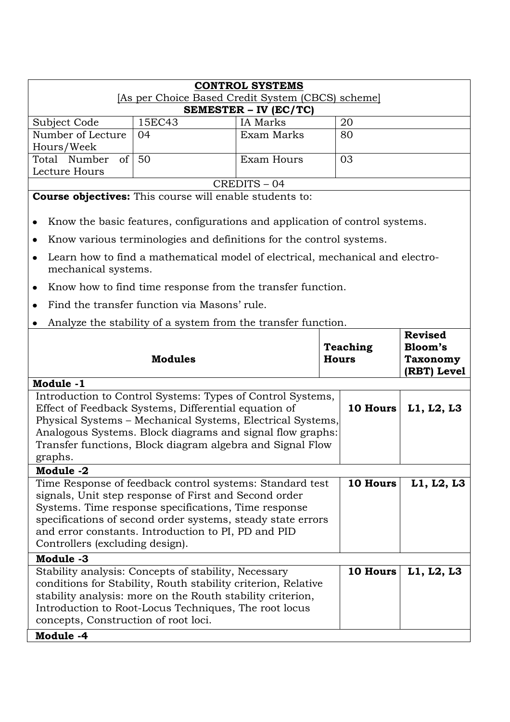| [As per Choice Based Credit System (CBCS) scheme]<br>SEMESTER - IV (EC/TC)<br>15EC43<br><b>IA</b> Marks<br>20<br>Subject Code<br>Number of Lecture<br>Exam Marks<br>04<br>80<br>Hours/Week<br>of  <br>50<br>Total Number<br>Exam Hours<br>03<br>Lecture Hours<br>CREDITS-04<br><b>Course objectives:</b> This course will enable students to:<br>Know the basic features, configurations and application of control systems.<br>٠<br>Know various terminologies and definitions for the control systems.<br>$\bullet$<br>Learn how to find a mathematical model of electrical, mechanical and electro-<br>$\bullet$<br>mechanical systems.<br>Know how to find time response from the transfer function.<br>٠<br>Find the transfer function via Masons' rule.<br>Analyze the stability of a system from the transfer function. |                                                             |  |  |  |
|--------------------------------------------------------------------------------------------------------------------------------------------------------------------------------------------------------------------------------------------------------------------------------------------------------------------------------------------------------------------------------------------------------------------------------------------------------------------------------------------------------------------------------------------------------------------------------------------------------------------------------------------------------------------------------------------------------------------------------------------------------------------------------------------------------------------------------|-------------------------------------------------------------|--|--|--|
|                                                                                                                                                                                                                                                                                                                                                                                                                                                                                                                                                                                                                                                                                                                                                                                                                                |                                                             |  |  |  |
|                                                                                                                                                                                                                                                                                                                                                                                                                                                                                                                                                                                                                                                                                                                                                                                                                                |                                                             |  |  |  |
|                                                                                                                                                                                                                                                                                                                                                                                                                                                                                                                                                                                                                                                                                                                                                                                                                                |                                                             |  |  |  |
|                                                                                                                                                                                                                                                                                                                                                                                                                                                                                                                                                                                                                                                                                                                                                                                                                                |                                                             |  |  |  |
|                                                                                                                                                                                                                                                                                                                                                                                                                                                                                                                                                                                                                                                                                                                                                                                                                                |                                                             |  |  |  |
|                                                                                                                                                                                                                                                                                                                                                                                                                                                                                                                                                                                                                                                                                                                                                                                                                                |                                                             |  |  |  |
|                                                                                                                                                                                                                                                                                                                                                                                                                                                                                                                                                                                                                                                                                                                                                                                                                                |                                                             |  |  |  |
|                                                                                                                                                                                                                                                                                                                                                                                                                                                                                                                                                                                                                                                                                                                                                                                                                                |                                                             |  |  |  |
|                                                                                                                                                                                                                                                                                                                                                                                                                                                                                                                                                                                                                                                                                                                                                                                                                                |                                                             |  |  |  |
|                                                                                                                                                                                                                                                                                                                                                                                                                                                                                                                                                                                                                                                                                                                                                                                                                                |                                                             |  |  |  |
|                                                                                                                                                                                                                                                                                                                                                                                                                                                                                                                                                                                                                                                                                                                                                                                                                                |                                                             |  |  |  |
|                                                                                                                                                                                                                                                                                                                                                                                                                                                                                                                                                                                                                                                                                                                                                                                                                                |                                                             |  |  |  |
|                                                                                                                                                                                                                                                                                                                                                                                                                                                                                                                                                                                                                                                                                                                                                                                                                                |                                                             |  |  |  |
|                                                                                                                                                                                                                                                                                                                                                                                                                                                                                                                                                                                                                                                                                                                                                                                                                                |                                                             |  |  |  |
| <b>Teaching</b><br><b>Modules</b><br><b>Hours</b>                                                                                                                                                                                                                                                                                                                                                                                                                                                                                                                                                                                                                                                                                                                                                                              | <b>Revised</b><br>Bloom's<br><b>Taxonomy</b><br>(RBT) Level |  |  |  |
| Module -1                                                                                                                                                                                                                                                                                                                                                                                                                                                                                                                                                                                                                                                                                                                                                                                                                      |                                                             |  |  |  |
| Introduction to Control Systems: Types of Control Systems,<br>Effect of Feedback Systems, Differential equation of<br>10 Hours<br>Physical Systems - Mechanical Systems, Electrical Systems,<br>Analogous Systems. Block diagrams and signal flow graphs:<br>Transfer functions, Block diagram algebra and Signal Flow<br>graphs.                                                                                                                                                                                                                                                                                                                                                                                                                                                                                              |                                                             |  |  |  |
| Module -2                                                                                                                                                                                                                                                                                                                                                                                                                                                                                                                                                                                                                                                                                                                                                                                                                      |                                                             |  |  |  |
| Time Response of feedback control systems: Standard test<br>10 Hours<br>signals, Unit step response of First and Second order<br>Systems. Time response specifications, Time response<br>specifications of second order systems, steady state errors<br>and error constants. Introduction to PI, PD and PID<br>Controllers (excluding design).                                                                                                                                                                                                                                                                                                                                                                                                                                                                                 | L1, L2, L3                                                  |  |  |  |
| Module -3                                                                                                                                                                                                                                                                                                                                                                                                                                                                                                                                                                                                                                                                                                                                                                                                                      |                                                             |  |  |  |
| Stability analysis: Concepts of stability, Necessary<br>10 Hours<br>conditions for Stability, Routh stability criterion, Relative<br>stability analysis: more on the Routh stability criterion,<br>Introduction to Root-Locus Techniques, The root locus<br>concepts, Construction of root loci.<br>Module -4                                                                                                                                                                                                                                                                                                                                                                                                                                                                                                                  | L1, L2, L3                                                  |  |  |  |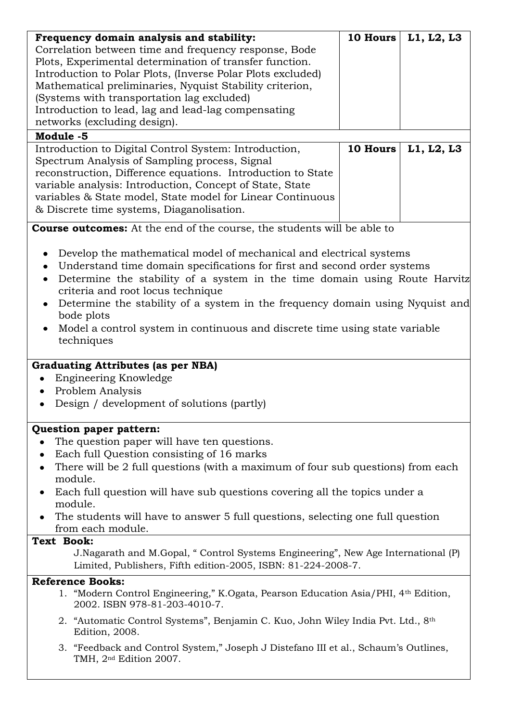| Frequency domain analysis and stability:                                                                                             | <b>10 Hours</b> | L1, L2, L3 |
|--------------------------------------------------------------------------------------------------------------------------------------|-----------------|------------|
| Correlation between time and frequency response, Bode                                                                                |                 |            |
| Plots, Experimental determination of transfer function.                                                                              |                 |            |
| Introduction to Polar Plots, (Inverse Polar Plots excluded)                                                                          |                 |            |
| Mathematical preliminaries, Nyquist Stability criterion,                                                                             |                 |            |
| (Systems with transportation lag excluded)                                                                                           |                 |            |
| Introduction to lead, lag and lead-lag compensating                                                                                  |                 |            |
| networks (excluding design).                                                                                                         |                 |            |
| Module -5                                                                                                                            |                 |            |
| Introduction to Digital Control System: Introduction,                                                                                | 10 Hours        | L1, L2, L3 |
| Spectrum Analysis of Sampling process, Signal                                                                                        |                 |            |
| reconstruction, Difference equations. Introduction to State                                                                          |                 |            |
| variable analysis: Introduction, Concept of State, State                                                                             |                 |            |
| variables & State model, State model for Linear Continuous                                                                           |                 |            |
| & Discrete time systems, Diaganolisation.                                                                                            |                 |            |
|                                                                                                                                      |                 |            |
| <b>Course outcomes:</b> At the end of the course, the students will be able to                                                       |                 |            |
|                                                                                                                                      |                 |            |
| Develop the mathematical model of mechanical and electrical systems                                                                  |                 |            |
| Understand time domain specifications for first and second order systems                                                             |                 |            |
| Determine the stability of a system in the time domain using Route Harvitz                                                           |                 |            |
| criteria and root locus technique                                                                                                    |                 |            |
| Determine the stability of a system in the frequency domain using Nyquist and<br>$\bullet$                                           |                 |            |
| bode plots                                                                                                                           |                 |            |
| Model a control system in continuous and discrete time using state variable<br>$\bullet$                                             |                 |            |
| techniques                                                                                                                           |                 |            |
| <b>Graduating Attributes (as per NBA)</b><br>Engineering Knowledge<br>Problem Analysis<br>Design / development of solutions (partly) |                 |            |
| Question paper pattern:                                                                                                              |                 |            |
| The question paper will have ten questions.                                                                                          |                 |            |
| Each full Question consisting of 16 marks                                                                                            |                 |            |
|                                                                                                                                      |                 |            |
| There will be 2 full questions (with a maximum of four sub questions) from each<br>٠<br>module.                                      |                 |            |
| Each full question will have sub questions covering all the topics under a<br>٠                                                      |                 |            |
| module.                                                                                                                              |                 |            |
| The students will have to answer 5 full questions, selecting one full question                                                       |                 |            |
| from each module.                                                                                                                    |                 |            |
| Text Book:                                                                                                                           |                 |            |
| J. Nagarath and M. Gopal, "Control Systems Engineering", New Age International (P)                                                   |                 |            |
| Limited, Publishers, Fifth edition-2005, ISBN: 81-224-2008-7.                                                                        |                 |            |
| <b>Reference Books:</b>                                                                                                              |                 |            |
| 1. "Modern Control Engineering," K.Ogata, Pearson Education Asia/PHI, 4 <sup>th</sup> Edition,                                       |                 |            |
| 2002. ISBN 978-81-203-4010-7.                                                                                                        |                 |            |
| 2. "Automatic Control Systems", Benjamin C. Kuo, John Wiley India Pvt. Ltd., 8 <sup>th</sup><br>Edition, 2008.                       |                 |            |
| 3. "Feedback and Control System," Joseph J Distefano III et al., Schaum's Outlines,<br>TMH, 2 <sup>nd</sup> Edition 2007.            |                 |            |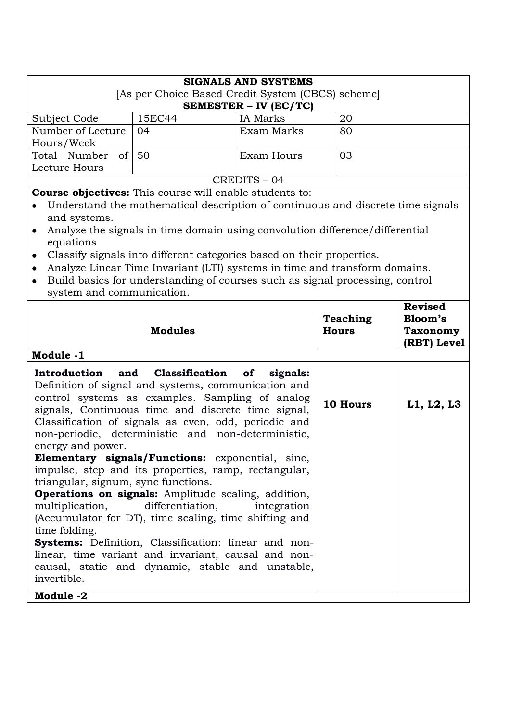| <b>SIGNALS AND SYSTEMS</b><br>[As per Choice Based Credit System (CBCS) scheme] |        |                 |    |  |
|---------------------------------------------------------------------------------|--------|-----------------|----|--|
| <b>SEMESTER – IV (EC/TC)</b>                                                    |        |                 |    |  |
| Subject Code                                                                    | 15EC44 | <b>IA</b> Marks | 20 |  |
| Number of Lecture                                                               | 04     | Exam Marks      | 80 |  |
| Hours/Week                                                                      |        |                 |    |  |
| Total Number of 50                                                              |        | Exam Hours      | 03 |  |
| Lecture Hours                                                                   |        |                 |    |  |
| CREDITS-04                                                                      |        |                 |    |  |

**Course objectives:** This course will enable students to:

- Understand the mathematical description of continuous and discrete time signals and systems.
- Analyze the signals in time domain using convolution difference/differential equations
- Classify signals into different categories based on their properties.
- Analyze Linear Time Invariant (LTI) systems in time and transform domains.  $\bullet$
- Build basics for understanding of courses such as signal processing, control  $\bullet$ system and communication.

| <b>Modules</b><br>Module -1                                                                                                                                                                                                                                                                                                                                                                                                                                                                                                                                                                                                                                                                                                                                                                                                                                                              | <b>Teaching</b><br><b>Hours</b> | <b>Revised</b><br>Bloom's<br><b>Taxonomy</b><br>(RBT) Level |
|------------------------------------------------------------------------------------------------------------------------------------------------------------------------------------------------------------------------------------------------------------------------------------------------------------------------------------------------------------------------------------------------------------------------------------------------------------------------------------------------------------------------------------------------------------------------------------------------------------------------------------------------------------------------------------------------------------------------------------------------------------------------------------------------------------------------------------------------------------------------------------------|---------------------------------|-------------------------------------------------------------|
| Introduction and Classification of<br>signals:<br>Definition of signal and systems, communication and<br>control systems as examples. Sampling of analog<br>signals, Continuous time and discrete time signal,<br>Classification of signals as even, odd, periodic and<br>non-periodic, deterministic and non-deterministic,<br>energy and power.<br><b>Elementary signals/Functions:</b> exponential, sine,<br>impulse, step and its properties, ramp, rectangular,<br>triangular, signum, sync functions.<br><b>Operations on signals:</b> Amplitude scaling, addition,<br>multiplication, differentiation,<br>integration<br>(Accumulator for DT), time scaling, time shifting and<br>time folding.<br>Systems: Definition, Classification: linear and non-<br>linear, time variant and invariant, causal and non-<br>causal, static and dynamic, stable and unstable,<br>invertible. | 10 Hours                        | L1, L2, L3                                                  |
| Module -2                                                                                                                                                                                                                                                                                                                                                                                                                                                                                                                                                                                                                                                                                                                                                                                                                                                                                |                                 |                                                             |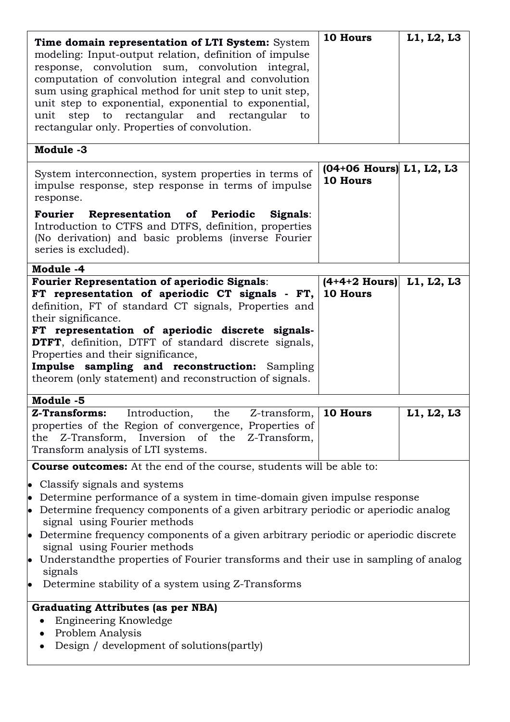| Time domain representation of LTI System: System<br>modeling: Input-output relation, definition of impulse<br>response, convolution sum, convolution integral,<br>computation of convolution integral and convolution<br>sum using graphical method for unit step to unit step,<br>unit step to exponential, exponential to exponential,<br>rectangular and rectangular<br>step<br>to<br>unit<br>to<br>rectangular only. Properties of convolution.                                                                                                                       | 10 Hours                               | L1, L2, L3 |
|---------------------------------------------------------------------------------------------------------------------------------------------------------------------------------------------------------------------------------------------------------------------------------------------------------------------------------------------------------------------------------------------------------------------------------------------------------------------------------------------------------------------------------------------------------------------------|----------------------------------------|------------|
| Module -3                                                                                                                                                                                                                                                                                                                                                                                                                                                                                                                                                                 |                                        |            |
| System interconnection, system properties in terms of<br>impulse response, step response in terms of impulse<br>response.                                                                                                                                                                                                                                                                                                                                                                                                                                                 | $(04+06$ Hours) L1, L2, L3<br>10 Hours |            |
| Fourier Representation of Periodic<br>Signals:<br>Introduction to CTFS and DTFS, definition, properties<br>(No derivation) and basic problems (inverse Fourier<br>series is excluded).                                                                                                                                                                                                                                                                                                                                                                                    |                                        |            |
| Module -4                                                                                                                                                                                                                                                                                                                                                                                                                                                                                                                                                                 |                                        |            |
| <b>Fourier Representation of aperiodic Signals:</b><br>FT representation of aperiodic CT signals - FT,<br>definition, FT of standard CT signals, Properties and<br>their significance.<br>FT representation of aperiodic discrete signals-<br><b>DTFT</b> , definition, DTFT of standard discrete signals,<br>Properties and their significance,<br>Impulse sampling and reconstruction: Sampling<br>theorem (only statement) and reconstruction of signals.                                                                                                              | $(4+4+2$ Hours) L1, L2, L3<br>10 Hours |            |
| Module -5                                                                                                                                                                                                                                                                                                                                                                                                                                                                                                                                                                 |                                        |            |
| <b>Z-Transforms:</b><br>Introduction.<br>the<br>Z-transform<br>properties of the Region of convergence, Properties of<br>Inversion of the Z-Transform,<br>Z-Transform,<br>the<br>Transform analysis of LTI systems.                                                                                                                                                                                                                                                                                                                                                       | 10 Hours                               | L1, L2, L3 |
| <b>Course outcomes:</b> At the end of the course, students will be able to:                                                                                                                                                                                                                                                                                                                                                                                                                                                                                               |                                        |            |
| • Classify signals and systems<br>Determine performance of a system in time-domain given impulse response<br>$\bullet$<br>Determine frequency components of a given arbitrary periodic or aperiodic analog<br>$\bullet$<br>signal using Fourier methods<br>$\bullet$ Determine frequency components of a given arbitrary periodic or aperiodic discrete<br>signal using Fourier methods<br>Understand the properties of Fourier transforms and their use in sampling of analog<br>$\bullet$<br>signals<br>Determine stability of a system using Z-Transforms<br>$\bullet$ |                                        |            |
| <b>Graduating Attributes (as per NBA)</b>                                                                                                                                                                                                                                                                                                                                                                                                                                                                                                                                 |                                        |            |
| Engineering Knowledge<br>Problem Analysis<br>Design / development of solutions (partly)                                                                                                                                                                                                                                                                                                                                                                                                                                                                                   |                                        |            |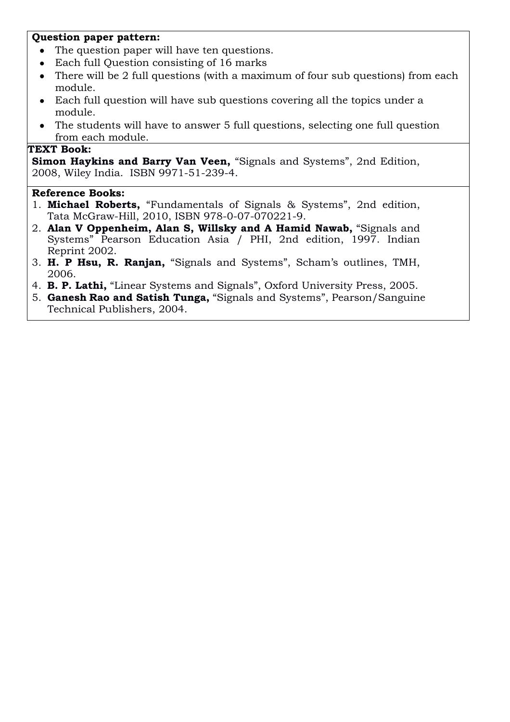### **Question paper pattern:**

- The question paper will have ten questions.
- Each full Question consisting of 16 marks  $\bullet$
- There will be 2 full questions (with a maximum of four sub questions) from each  $\bullet$ module.
- Each full question will have sub questions covering all the topics under a  $\bullet$ module.
- The students will have to answer 5 full questions, selecting one full question from each module.

### **TEXT Book:**

**Simon Haykins and Barry Van Veen,** "Signals and Systems", 2nd Edition, 2008, Wiley India. ISBN 9971-51-239-4.

- 1. **Michael Roberts,** "Fundamentals of Signals & Systems", 2nd edition, Tata McGraw-Hill, 2010, ISBN 978-0-07-070221-9.
- 2. **Alan V Oppenheim, Alan S, Willsky and A Hamid Nawab,** "Signals and Systems" Pearson Education Asia / PHI, 2nd edition, 1997. Indian Reprint 2002.
- 3. **H. P Hsu, R. Ranjan,** "Signals and Systems", Scham"s outlines, TMH, 2006.
- 4. **B. P. Lathi,** "Linear Systems and Signals", Oxford University Press, 2005.
- 5. **Ganesh Rao and Satish Tunga,** "Signals and Systems", Pearson/Sanguine Technical Publishers, 2004.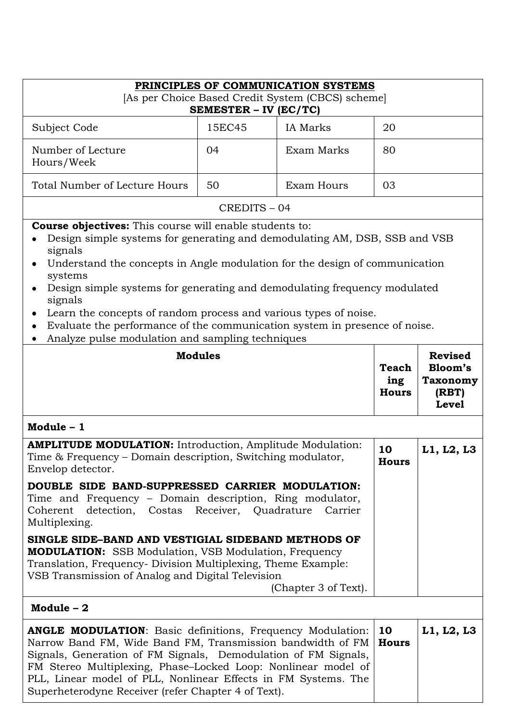|                                                                                                                                                                                                                                                                                                                                                                                                                                                                                             | PRINCIPLES OF COMMUNICATION SYSTEMS |                 |                                     |                                                                       |  |
|---------------------------------------------------------------------------------------------------------------------------------------------------------------------------------------------------------------------------------------------------------------------------------------------------------------------------------------------------------------------------------------------------------------------------------------------------------------------------------------------|-------------------------------------|-----------------|-------------------------------------|-----------------------------------------------------------------------|--|
| [As per Choice Based Credit System (CBCS) scheme]<br>SEMESTER - IV (EC/TC)                                                                                                                                                                                                                                                                                                                                                                                                                  |                                     |                 |                                     |                                                                       |  |
| Subject Code                                                                                                                                                                                                                                                                                                                                                                                                                                                                                | 15EC45                              | <b>IA</b> Marks | 20                                  |                                                                       |  |
| Number of Lecture<br>Hours/Week                                                                                                                                                                                                                                                                                                                                                                                                                                                             | 04                                  | Exam Marks      | 80                                  |                                                                       |  |
| Total Number of Lecture Hours                                                                                                                                                                                                                                                                                                                                                                                                                                                               | 50                                  | Exam Hours      | 03                                  |                                                                       |  |
|                                                                                                                                                                                                                                                                                                                                                                                                                                                                                             | CREDITS-04                          |                 |                                     |                                                                       |  |
| <b>Course objectives:</b> This course will enable students to:<br>Design simple systems for generating and demodulating AM, DSB, SSB and VSB<br>signals<br>Understand the concepts in Angle modulation for the design of communication<br>systems<br>Design simple systems for generating and demodulating frequency modulated<br>signals<br>Learn the concepts of random process and various types of noise.<br>Evaluate the performance of the communication system in presence of noise. |                                     |                 |                                     |                                                                       |  |
| Analyze pulse modulation and sampling techniques                                                                                                                                                                                                                                                                                                                                                                                                                                            |                                     |                 |                                     |                                                                       |  |
| <b>Modules</b>                                                                                                                                                                                                                                                                                                                                                                                                                                                                              |                                     |                 | <b>Teach</b><br>ing<br><b>Hours</b> | <b>Revised</b><br>Bloom's<br><b>Taxonomy</b><br>(RBT)<br><b>Level</b> |  |
| Module $-1$                                                                                                                                                                                                                                                                                                                                                                                                                                                                                 |                                     |                 |                                     |                                                                       |  |
| <b>AMPLITUDE MODULATION:</b> Introduction, Amplitude Modulation:<br>Time & Frequency - Domain description, Switching modulator,<br>Envelop detector.                                                                                                                                                                                                                                                                                                                                        |                                     |                 | 10<br><b>Hours</b>                  | L1, L2, L3                                                            |  |
| DOUBLE SIDE BAND-SUPPRESSED CARRIER MODULATION:<br>Time and Frequency – Domain description, Ring modulator,<br>detection, Costas Receiver, Quadrature Carrier<br>Coherent<br>Multiplexing.                                                                                                                                                                                                                                                                                                  |                                     |                 |                                     |                                                                       |  |
| SINGLE SIDE–BAND AND VESTIGIAL SIDEBAND METHODS OF<br><b>MODULATION:</b> SSB Modulation, VSB Modulation, Frequency<br>Translation, Frequency- Division Multiplexing, Theme Example:<br>VSB Transmission of Analog and Digital Television<br>(Chapter 3 of Text).                                                                                                                                                                                                                            |                                     |                 |                                     |                                                                       |  |
| Module $-2$                                                                                                                                                                                                                                                                                                                                                                                                                                                                                 |                                     |                 |                                     |                                                                       |  |
| <b>ANGLE MODULATION:</b> Basic definitions, Frequency Modulation:<br>Narrow Band FM, Wide Band FM, Transmission bandwidth of FM<br>Signals, Generation of FM Signals, Demodulation of FM Signals,<br>FM Stereo Multiplexing, Phase-Locked Loop: Nonlinear model of<br>PLL, Linear model of PLL, Nonlinear Effects in FM Systems. The<br>Superheterodyne Receiver (refer Chapter 4 of Text).                                                                                                 |                                     |                 | 10<br><b>Hours</b>                  | L1, L2, L3                                                            |  |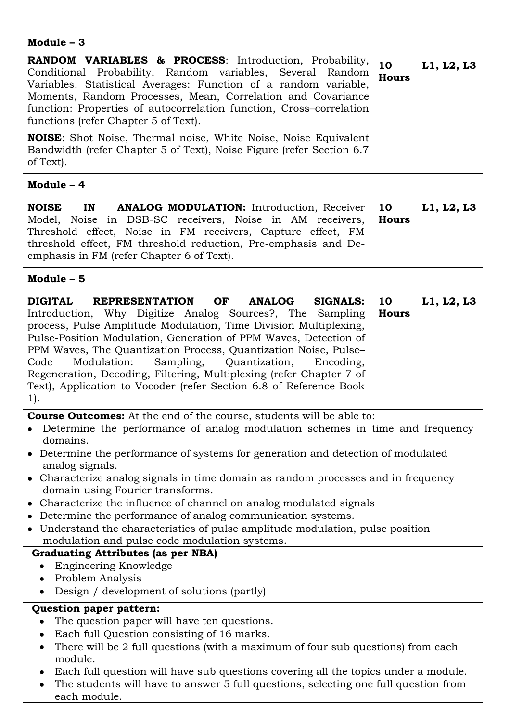| Module $-3$                                                                                                                                                                                                                                                                                                                                                                                                                                                                                                                                                                                                                                                                                                                  |                    |            |
|------------------------------------------------------------------------------------------------------------------------------------------------------------------------------------------------------------------------------------------------------------------------------------------------------------------------------------------------------------------------------------------------------------------------------------------------------------------------------------------------------------------------------------------------------------------------------------------------------------------------------------------------------------------------------------------------------------------------------|--------------------|------------|
| RANDOM VARIABLES & PROCESS: Introduction, Probability,<br>Conditional Probability, Random variables, Several Random<br>Variables. Statistical Averages: Function of a random variable,<br>Moments, Random Processes, Mean, Correlation and Covariance<br>function: Properties of autocorrelation function, Cross-correlation<br>functions (refer Chapter 5 of Text).                                                                                                                                                                                                                                                                                                                                                         | 10<br><b>Hours</b> | L1, L2, L3 |
| <b>NOISE:</b> Shot Noise, Thermal noise, White Noise, Noise Equivalent<br>Bandwidth (refer Chapter 5 of Text), Noise Figure (refer Section 6.7)<br>of Text).                                                                                                                                                                                                                                                                                                                                                                                                                                                                                                                                                                 |                    |            |
| Module - 4                                                                                                                                                                                                                                                                                                                                                                                                                                                                                                                                                                                                                                                                                                                   |                    |            |
| IN<br><b>ANALOG MODULATION:</b> Introduction, Receiver<br><b>NOISE</b><br>Model, Noise in DSB-SC receivers, Noise in AM receivers,<br>Threshold effect, Noise in FM receivers, Capture effect, FM<br>threshold effect, FM threshold reduction, Pre-emphasis and De-<br>emphasis in FM (refer Chapter 6 of Text).                                                                                                                                                                                                                                                                                                                                                                                                             | 10<br><b>Hours</b> | L1, L2, L3 |
| Module - 5                                                                                                                                                                                                                                                                                                                                                                                                                                                                                                                                                                                                                                                                                                                   |                    |            |
| <b>REPRESENTATION</b><br>OF<br><b>ANALOG</b><br><b>SIGNALS:</b><br><b>DIGITAL</b><br>Introduction, Why Digitize Analog Sources?, The Sampling<br>process, Pulse Amplitude Modulation, Time Division Multiplexing,<br>Pulse-Position Modulation, Generation of PPM Waves, Detection of<br>PPM Waves, The Quantization Process, Quantization Noise, Pulse-<br>Code<br>Modulation:<br>Sampling,<br>Quantization,<br>Encoding,<br>Regeneration, Decoding, Filtering, Multiplexing (refer Chapter 7 of<br>Text), Application to Vocoder (refer Section 6.8 of Reference Book<br>$1$ .                                                                                                                                             | 10<br><b>Hours</b> | L1, L2, L3 |
| <b>Course Outcomes:</b> At the end of the course, students will be able to:<br>Determine the performance of analog modulation schemes in time and frequency<br>domains.<br>• Determine the performance of systems for generation and detection of modulated<br>analog signals.<br>• Characterize analog signals in time domain as random processes and in frequency<br>domain using Fourier transforms.<br>• Characterize the influence of channel on analog modulated signals<br>Determine the performance of analog communication systems.<br>• Understand the characteristics of pulse amplitude modulation, pulse position<br>modulation and pulse code modulation systems.<br><b>Graduating Attributes (as per NBA)</b> |                    |            |
| Engineering Knowledge<br>Problem Analysis<br>Design / development of solutions (partly)<br>Question paper pattern:                                                                                                                                                                                                                                                                                                                                                                                                                                                                                                                                                                                                           |                    |            |
| The question paper will have ten questions.<br>Each full Question consisting of 16 marks.<br>There will be 2 full questions (with a maximum of four sub questions) from each<br>module.<br>Each full question will have sub questions covering all the topics under a module.<br>The students will have to answer 5 full questions, selecting one full question from                                                                                                                                                                                                                                                                                                                                                         |                    |            |

The students will have to answer 5 full questions, selecting one full question from each module.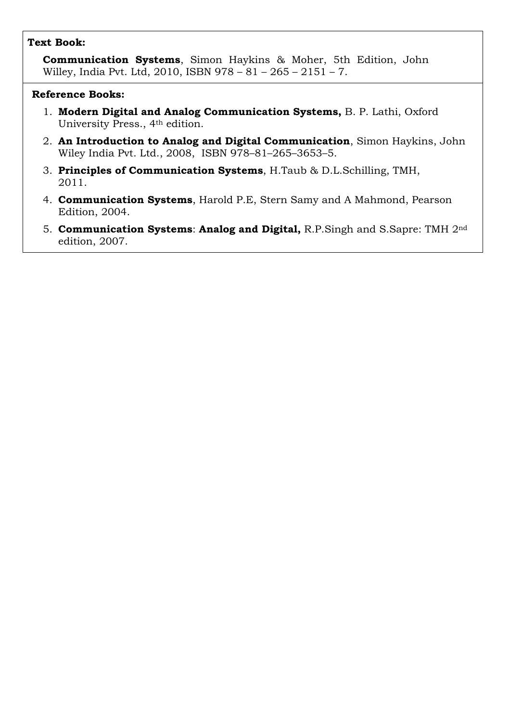### **Text Book:**

**Communication Systems**, Simon Haykins & Moher, 5th Edition, John Willey, India Pvt. Ltd, 2010, ISBN 978 – 81 – 265 – 2151 – 7.

- 1. **Modern Digital and Analog Communication Systems,** B. P. Lathi, Oxford University Press., 4th edition.
- 2. **An Introduction to Analog and Digital Communication**, Simon Haykins, John Wiley India Pvt. Ltd., 2008, ISBN 978–81–265–3653–5.
- 3. **Principles of Communication Systems**, H.Taub & D.L.Schilling, TMH, 2011.
- 4. **Communication Systems**, Harold P.E, Stern Samy and A Mahmond, Pearson Edition, 2004.
- 5. **Communication Systems**: **Analog and Digital,** R.P.Singh and S.Sapre: TMH 2nd edition, 2007.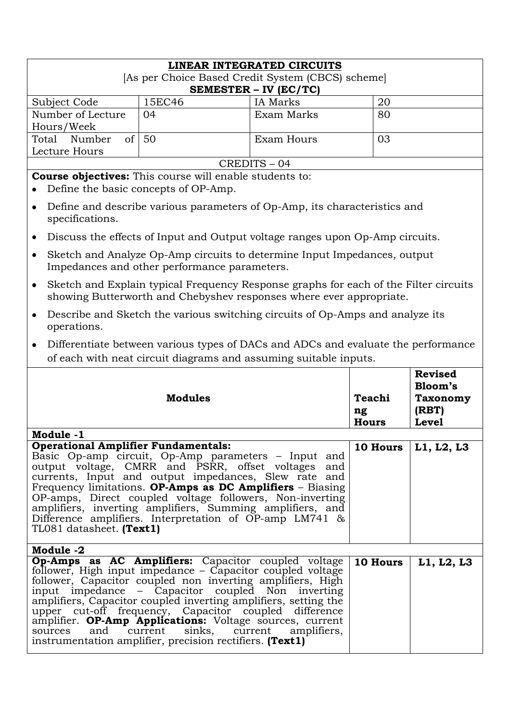|                                                                                                   | LINEAR INTEGRATED CIRCUITS                                                                                                                                                                                                                                                                                                                                                                                       |            |                 |                           |  |
|---------------------------------------------------------------------------------------------------|------------------------------------------------------------------------------------------------------------------------------------------------------------------------------------------------------------------------------------------------------------------------------------------------------------------------------------------------------------------------------------------------------------------|------------|-----------------|---------------------------|--|
| [As per Choice Based Credit System (CBCS) scheme]<br><b>SEMESTER - IV (EC/TC)</b>                 |                                                                                                                                                                                                                                                                                                                                                                                                                  |            |                 |                           |  |
| Subject Code                                                                                      | 15EC46                                                                                                                                                                                                                                                                                                                                                                                                           | IA Marks   | 20              |                           |  |
| Number of Lecture                                                                                 | 04                                                                                                                                                                                                                                                                                                                                                                                                               | Exam Marks | 80              |                           |  |
| of<br>Total Number                                                                                | Hours/Week<br>50<br><b>Exam Hours</b>                                                                                                                                                                                                                                                                                                                                                                            |            |                 |                           |  |
| Lecture Hours                                                                                     |                                                                                                                                                                                                                                                                                                                                                                                                                  |            | 03              |                           |  |
|                                                                                                   |                                                                                                                                                                                                                                                                                                                                                                                                                  | CREDITS-04 |                 |                           |  |
|                                                                                                   | <b>Course objectives:</b> This course will enable students to:                                                                                                                                                                                                                                                                                                                                                   |            |                 |                           |  |
|                                                                                                   | Define the basic concepts of OP-Amp.                                                                                                                                                                                                                                                                                                                                                                             |            |                 |                           |  |
| $\bullet$<br>specifications.                                                                      | Define and describe various parameters of Op-Amp, its characteristics and                                                                                                                                                                                                                                                                                                                                        |            |                 |                           |  |
|                                                                                                   | Discuss the effects of Input and Output voltage ranges upon Op-Amp circuits.                                                                                                                                                                                                                                                                                                                                     |            |                 |                           |  |
|                                                                                                   | Sketch and Analyze Op-Amp circuits to determine Input Impedances, output<br>Impedances and other performance parameters.                                                                                                                                                                                                                                                                                         |            |                 |                           |  |
| ٠                                                                                                 | Sketch and Explain typical Frequency Response graphs for each of the Filter circuits<br>showing Butterworth and Chebyshev responses where ever appropriate.                                                                                                                                                                                                                                                      |            |                 |                           |  |
| Describe and Sketch the various switching circuits of Op-Amps and analyze its<br>٠<br>operations. |                                                                                                                                                                                                                                                                                                                                                                                                                  |            |                 |                           |  |
| Differentiate between various types of DACs and ADCs and evaluate the performance<br>$\bullet$    |                                                                                                                                                                                                                                                                                                                                                                                                                  |            |                 |                           |  |
| of each with neat circuit diagrams and assuming suitable inputs.                                  |                                                                                                                                                                                                                                                                                                                                                                                                                  |            |                 |                           |  |
|                                                                                                   |                                                                                                                                                                                                                                                                                                                                                                                                                  |            |                 |                           |  |
|                                                                                                   |                                                                                                                                                                                                                                                                                                                                                                                                                  |            |                 | <b>Revised</b><br>Bloom's |  |
|                                                                                                   | <b>Modules</b>                                                                                                                                                                                                                                                                                                                                                                                                   |            | Teachi          | <b>Taxonomy</b>           |  |
|                                                                                                   |                                                                                                                                                                                                                                                                                                                                                                                                                  |            | ng              | (RBT)                     |  |
|                                                                                                   |                                                                                                                                                                                                                                                                                                                                                                                                                  |            | <b>Hours</b>    | <b>Level</b>              |  |
| Module -1<br><b>Operational Amplifier Fundamentals:</b>                                           |                                                                                                                                                                                                                                                                                                                                                                                                                  |            |                 |                           |  |
| TL081 datasheet. (Text1)                                                                          | Basic Op-amp circuit, Op-Amp parameters – Input and<br>output voltage, CMRR and PSRR, offset voltages<br>currents, Input and output impedances, Slew rate and<br>Frequency limitations. OP-Amps as DC Amplifiers $-$ Biasing<br>OP-amps, Direct coupled voltage followers, Non-inverting<br>amplifiers, inverting amplifiers, Summing amplifiers, and<br>Difference amplifiers. Interpretation of OP-amp LM741 & | and        | <b>10 Hours</b> | $ $ L1, L2, L3            |  |
| Module -2                                                                                         | Op-Amps as AC Amplifiers: Capacitor coupled voltage                                                                                                                                                                                                                                                                                                                                                              |            | 10 Hours        | L1, L2, L3                |  |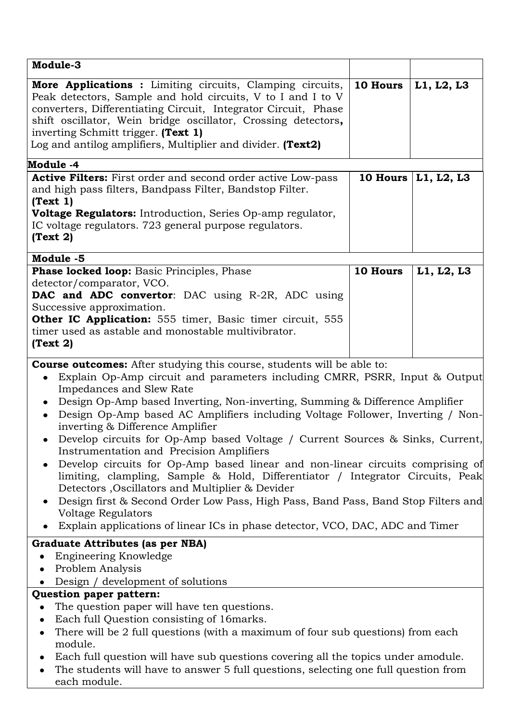| Module-3                                                                                                                                                                                                                                                                                                                                                                                                                                                                                                                                                                                                                                                                                                                                                                                                                                                                                                                                                           |                 |                       |
|--------------------------------------------------------------------------------------------------------------------------------------------------------------------------------------------------------------------------------------------------------------------------------------------------------------------------------------------------------------------------------------------------------------------------------------------------------------------------------------------------------------------------------------------------------------------------------------------------------------------------------------------------------------------------------------------------------------------------------------------------------------------------------------------------------------------------------------------------------------------------------------------------------------------------------------------------------------------|-----------------|-----------------------|
| More Applications : Limiting circuits, Clamping circuits,<br>Peak detectors, Sample and hold circuits, V to I and I to V<br>converters, Differentiating Circuit, Integrator Circuit, Phase<br>shift oscillator, Wein bridge oscillator, Crossing detectors,<br>inverting Schmitt trigger. (Text 1)<br>Log and antilog amplifiers, Multiplier and divider. (Text2)                                                                                                                                                                                                                                                                                                                                                                                                                                                                                                                                                                                                  | <b>10 Hours</b> | L1, L2, L3            |
| Module -4                                                                                                                                                                                                                                                                                                                                                                                                                                                                                                                                                                                                                                                                                                                                                                                                                                                                                                                                                          |                 |                       |
| <b>Active Filters:</b> First order and second order active Low-pass<br>and high pass filters, Bandpass Filter, Bandstop Filter.<br>(Text 1)<br>Voltage Regulators: Introduction, Series Op-amp regulator,<br>IC voltage regulators. 723 general purpose regulators.<br>(Text 2)                                                                                                                                                                                                                                                                                                                                                                                                                                                                                                                                                                                                                                                                                    |                 | 10 Hours   L1, L2, L3 |
| Module -5<br><b>Phase locked loop:</b> Basic Principles, Phase                                                                                                                                                                                                                                                                                                                                                                                                                                                                                                                                                                                                                                                                                                                                                                                                                                                                                                     | <b>10 Hours</b> | L1, L2, L3            |
| detector/comparator, VCO.<br>DAC and ADC convertor: DAC using R-2R, ADC using<br>Successive approximation.<br><b>Other IC Application:</b> 555 timer, Basic timer circuit, 555<br>timer used as astable and monostable multivibrator.<br>(Text 2)                                                                                                                                                                                                                                                                                                                                                                                                                                                                                                                                                                                                                                                                                                                  |                 |                       |
| <b>Course outcomes:</b> After studying this course, students will be able to:<br>Explain Op-Amp circuit and parameters including CMRR, PSRR, Input & Output<br>Impedances and Slew Rate<br>Design Op-Amp based Inverting, Non-inverting, Summing & Difference Amplifier<br>$\bullet$<br>Design Op-Amp based AC Amplifiers including Voltage Follower, Inverting / Non-<br>inverting & Difference Amplifier<br>Develop circuits for Op-Amp based Voltage / Current Sources & Sinks, Current,<br>Instrumentation and Precision Amplifiers<br>Develop circuits for Op-Amp based linear and non-linear circuits comprising of<br>limiting, clampling, Sample & Hold, Differentiator / Integrator Circuits, Peak<br>Detectors , Oscillators and Multiplier & Devider<br>Design first & Second Order Low Pass, High Pass, Band Pass, Band Stop Filters and<br><b>Voltage Regulators</b><br>Explain applications of linear ICs in phase detector, VCO, DAC, ADC and Timer |                 |                       |
| Graduate Attributes (as per NBA)<br>Engineering Knowledge<br>Problem Analysis<br>Design / development of solutions<br>Question paper pattern:<br>The question paper will have ten questions.<br>Each full Question consisting of 16 marks.<br>٠<br>There will be 2 full questions (with a maximum of four sub questions) from each<br>٠<br>module.<br>Each full question will have sub questions covering all the topics under amodule.<br>٠<br>The students will have to answer 5 full questions, selecting one full question from<br>each module.                                                                                                                                                                                                                                                                                                                                                                                                                |                 |                       |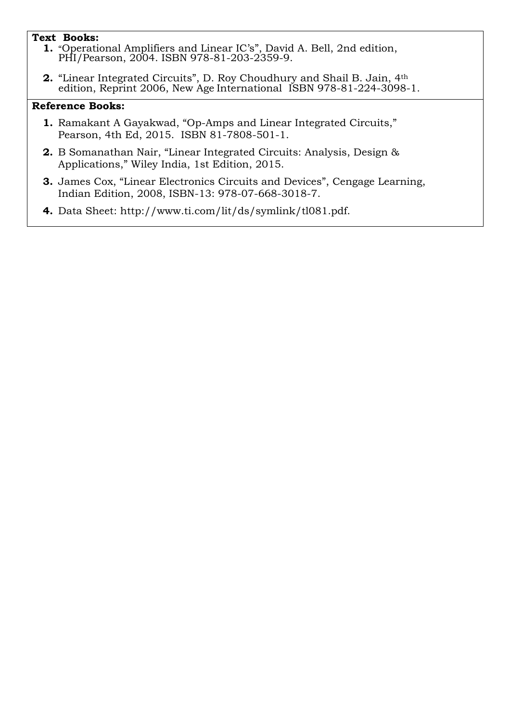#### **Text Books:**

- **1.** "Operational Amplifiers and Linear IC"s", David A. Bell, 2nd edition, PHI/Pearson, 2004. ISBN 978-81-203-2359-9.
- **2.** "Linear Integrated Circuits", D. Roy Choudhury and Shail B. Jain, 4th edition, Reprint 2006, New Age International ISBN 978-81-224-3098-1.

- **1.** Ramakant A Gayakwad, "Op-Amps and Linear Integrated Circuits," Pearson, 4th Ed, 2015. ISBN 81-7808-501-1.
- **2.** B Somanathan Nair, "Linear Integrated Circuits: Analysis, Design & Applications," Wiley India, 1st Edition, 2015.
- **3.** James Cox, "Linear Electronics Circuits and Devices", Cengage Learning, Indian Edition, 2008, ISBN-13: 978-07-668-3018-7.
- **4.** Data Sheet:<http://www.ti.com/lit/ds/symlink/tl081.pdf.>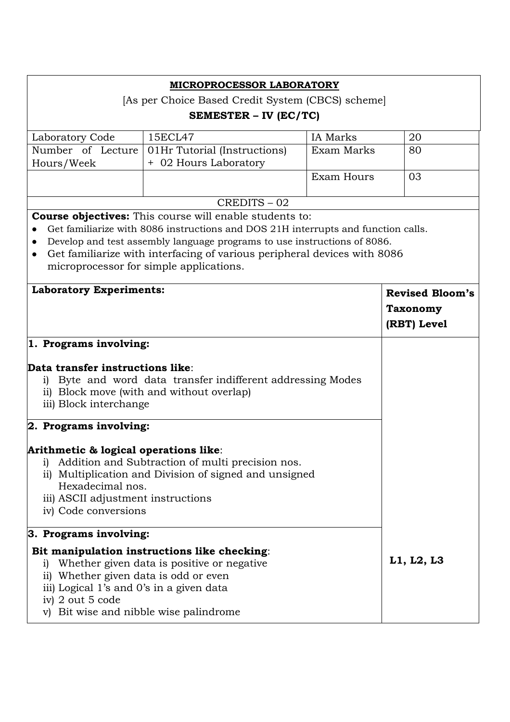|                                                                                                                                                                                                                                                      | <b>MICROPROCESSOR LABORATORY</b>                                                                                                                                                                                                                                                                                                                       |                 |                        |
|------------------------------------------------------------------------------------------------------------------------------------------------------------------------------------------------------------------------------------------------------|--------------------------------------------------------------------------------------------------------------------------------------------------------------------------------------------------------------------------------------------------------------------------------------------------------------------------------------------------------|-----------------|------------------------|
|                                                                                                                                                                                                                                                      | [As per Choice Based Credit System (CBCS) scheme]                                                                                                                                                                                                                                                                                                      |                 |                        |
|                                                                                                                                                                                                                                                      | SEMESTER – IV (EC/TC)                                                                                                                                                                                                                                                                                                                                  |                 |                        |
| Laboratory Code                                                                                                                                                                                                                                      | 15ECL47                                                                                                                                                                                                                                                                                                                                                | <b>IA</b> Marks | 20                     |
| Number of Lecture                                                                                                                                                                                                                                    | 01Hr Tutorial (Instructions)                                                                                                                                                                                                                                                                                                                           | Exam Marks      | 80                     |
| Hours/Week                                                                                                                                                                                                                                           | + 02 Hours Laboratory                                                                                                                                                                                                                                                                                                                                  |                 |                        |
|                                                                                                                                                                                                                                                      |                                                                                                                                                                                                                                                                                                                                                        | Exam Hours      | 03                     |
|                                                                                                                                                                                                                                                      | CREDITS-02                                                                                                                                                                                                                                                                                                                                             |                 |                        |
| $\bullet$                                                                                                                                                                                                                                            | <b>Course objectives:</b> This course will enable students to:<br>Get familiarize with 8086 instructions and DOS 21H interrupts and function calls.<br>Develop and test assembly language programs to use instructions of 8086.<br>Get familiarize with interfacing of various peripheral devices with 8086<br>microprocessor for simple applications. |                 |                        |
| <b>Laboratory Experiments:</b>                                                                                                                                                                                                                       |                                                                                                                                                                                                                                                                                                                                                        |                 | <b>Revised Bloom's</b> |
|                                                                                                                                                                                                                                                      |                                                                                                                                                                                                                                                                                                                                                        |                 | <b>Taxonomy</b>        |
|                                                                                                                                                                                                                                                      |                                                                                                                                                                                                                                                                                                                                                        |                 | (RBT) Level            |
| 1. Programs involving:                                                                                                                                                                                                                               |                                                                                                                                                                                                                                                                                                                                                        |                 |                        |
| Data transfer instructions like:<br>1<br>iii) Block interchange<br>2. Programs involving:                                                                                                                                                            | Byte and word data transfer indifferent addressing Modes<br>ii) Block move (with and without overlap)                                                                                                                                                                                                                                                  |                 |                        |
| Arithmetic & logical operations like:<br>i)<br>Hexadecimal nos.<br>iii) ASCII adjustment instructions<br>iv) Code conversions                                                                                                                        | Addition and Subtraction of multi precision nos.<br>ii) Multiplication and Division of signed and unsigned                                                                                                                                                                                                                                             |                 |                        |
| 3. Programs involving:                                                                                                                                                                                                                               |                                                                                                                                                                                                                                                                                                                                                        |                 |                        |
| Bit manipulation instructions like checking:<br>Whether given data is positive or negative.<br>i)<br>ii) Whether given data is odd or even<br>iii) Logical 1's and 0's in a given data<br>iv) 2 out 5 code<br>v) Bit wise and nibble wise palindrome |                                                                                                                                                                                                                                                                                                                                                        |                 | L1, L2, L3             |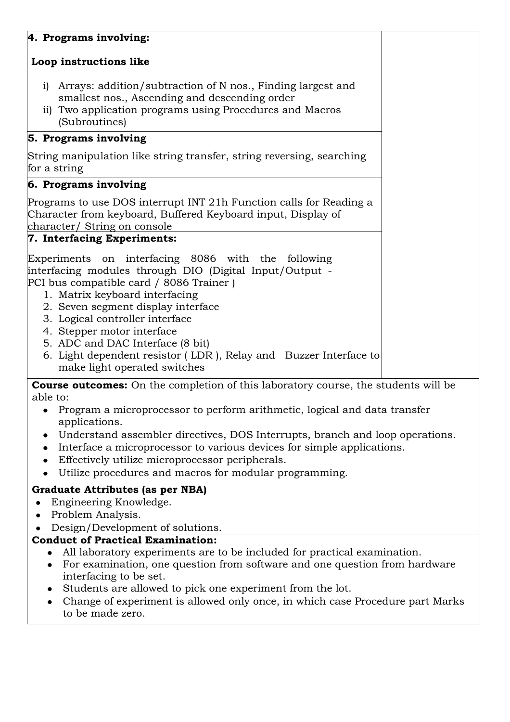# **4. Programs involving:**

# **Loop instructions like**

- i) Arrays: addition/subtraction of N nos., Finding largest and smallest nos., Ascending and descending order
- ii) Two application programs using Procedures and Macros (Subroutines)

# **5. Programs involving**

String manipulation like string transfer, string reversing, searching for a string

# . **6. Programs involving**

Programs to use DOS interrupt INT 21h Function calls for Reading a Character from keyboard, Buffered Keyboard input, Display of character/ String on console

## **7. Interfacing Experiments:**

Experiments on interfacing 8086 with the following interfacing modules through DIO (Digital Input/Output - PCI bus compatible card / 8086 Trainer )

- 1. Matrix keyboard interfacing
- 2. Seven segment display interface
- 3. Logical controller interface
- 4. Stepper motor interface
- 5. ADC and DAC Interface (8 bit)
- 6. Light dependent resistor ( LDR ), Relay and Buzzer Interface to make light operated switches

**Course outcomes:** On the completion of this laboratory course, the students will be able to:

- Program a microprocessor to perform arithmetic, logical and data transfer  $\bullet$ applications.
- Understand assembler directives, DOS Interrupts, branch and loop operations.
- Interface a microprocessor to various devices for simple applications.
- Effectively utilize microprocessor peripherals.
- Utilize procedures and macros for modular programming.  $\bullet$

## **Graduate Attributes (as per NBA)**

- Engineering Knowledge.  $\bullet$
- Problem Analysis.  $\bullet$

Design/Development of solutions.

## **Conduct of Practical Examination:**

- All laboratory experiments are to be included for practical examination.
- For examination, one question from software and one question from hardware interfacing to be set.
- Students are allowed to pick one experiment from the lot.
- Change of experiment is allowed only once, in which case Procedure part Marks  $\bullet$ to be made zero.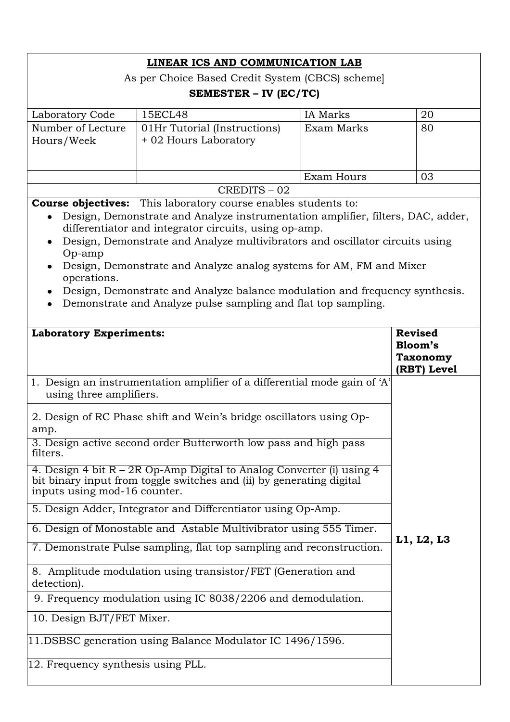|                                                                                                                         | LINEAR ICS AND COMMUNICATION LAB                                                                                                                                                                                                                                                                                                                                                                                                                                                                                                                                                                                                                                                                                                                                                   |                 |                                                             |
|-------------------------------------------------------------------------------------------------------------------------|------------------------------------------------------------------------------------------------------------------------------------------------------------------------------------------------------------------------------------------------------------------------------------------------------------------------------------------------------------------------------------------------------------------------------------------------------------------------------------------------------------------------------------------------------------------------------------------------------------------------------------------------------------------------------------------------------------------------------------------------------------------------------------|-----------------|-------------------------------------------------------------|
|                                                                                                                         | As per Choice Based Credit System (CBCS) scheme                                                                                                                                                                                                                                                                                                                                                                                                                                                                                                                                                                                                                                                                                                                                    |                 |                                                             |
|                                                                                                                         | SEMESTER – IV (EC/TC)                                                                                                                                                                                                                                                                                                                                                                                                                                                                                                                                                                                                                                                                                                                                                              |                 |                                                             |
| Laboratory Code                                                                                                         | 15ECL48                                                                                                                                                                                                                                                                                                                                                                                                                                                                                                                                                                                                                                                                                                                                                                            | <b>IA</b> Marks | 20                                                          |
| Number of Lecture<br>Hours/Week                                                                                         | 01Hr Tutorial (Instructions)<br>+ 02 Hours Laboratory                                                                                                                                                                                                                                                                                                                                                                                                                                                                                                                                                                                                                                                                                                                              | Exam Marks      | 80                                                          |
|                                                                                                                         |                                                                                                                                                                                                                                                                                                                                                                                                                                                                                                                                                                                                                                                                                                                                                                                    | Exam Hours      | 03                                                          |
|                                                                                                                         | CREDITS-02                                                                                                                                                                                                                                                                                                                                                                                                                                                                                                                                                                                                                                                                                                                                                                         |                 |                                                             |
| ٠<br>Op-amp<br>operations.<br>$\bullet$                                                                                 | Design, Demonstrate and Analyze instrumentation amplifier, filters, DAC, adder,<br>differentiator and integrator circuits, using op-amp.<br>Design, Demonstrate and Analyze multivibrators and oscillator circuits using<br>Design, Demonstrate and Analyze analog systems for AM, FM and Mixer<br>Design, Demonstrate and Analyze balance modulation and frequency synthesis.<br>Demonstrate and Analyze pulse sampling and flat top sampling.                                                                                                                                                                                                                                                                                                                                    |                 |                                                             |
| <b>Laboratory Experiments:</b>                                                                                          |                                                                                                                                                                                                                                                                                                                                                                                                                                                                                                                                                                                                                                                                                                                                                                                    |                 | <b>Revised</b><br>Bloom's<br><b>Taxonomy</b><br>(RBT) Level |
| using three amplifiers.<br>amp.<br>filters.<br>inputs using mod-16 counter.<br>detection).<br>10. Design BJT/FET Mixer. | 1. Design an instrumentation amplifier of a differential mode gain of 'A'<br>2. Design of RC Phase shift and Wein's bridge oscillators using Op-<br>3. Design active second order Butterworth low pass and high pass<br>4. Design 4 bit $R - 2R$ Op-Amp Digital to Analog Converter (i) using 4<br>bit binary input from toggle switches and (ii) by generating digital<br>5. Design Adder, Integrator and Differentiator using Op-Amp.<br>6. Design of Monostable and Astable Multivibrator using 555 Timer.<br>7. Demonstrate Pulse sampling, flat top sampling and reconstruction.<br>8. Amplitude modulation using transistor/FET (Generation and<br>9. Frequency modulation using IC 8038/2206 and demodulation.<br>11.DSBSC generation using Balance Modulator IC 1496/1596. |                 | L1, L2, L3                                                  |